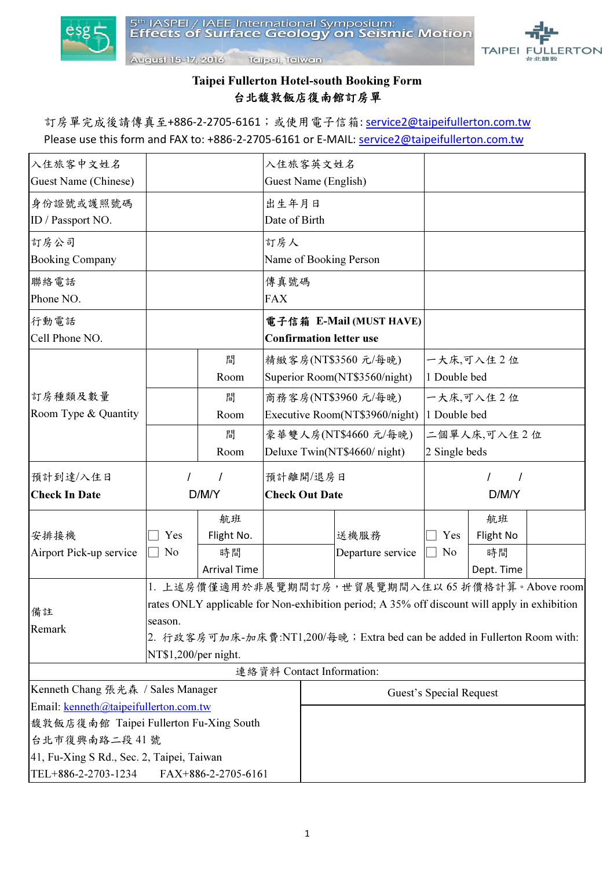



Taipei Fullerton Hotel Taipei Fullerton Hotel-south Booking Form 台北馥敦飯店復南館訂房單

August 15-17, 2016 Tellpel, Teliwan

訂房單完成後請傳真至+886-2-2705-6161;或使用電子信箱: service2@taipeifullerton.com.tw Please use this form and FAX to: +886-2-2705-6161 or E-MAIL: service2@taipeifullerton.com.tw

| 入住旅客中文姓名                                  |                                                                                              |                     |                                             | 入住旅客英文姓名                       |                                                |                         |            |  |  |
|-------------------------------------------|----------------------------------------------------------------------------------------------|---------------------|---------------------------------------------|--------------------------------|------------------------------------------------|-------------------------|------------|--|--|
| Guest Name (Chinese)                      |                                                                                              |                     | Guest Name (English)                        |                                |                                                |                         |            |  |  |
| 身份證號或護照號碼                                 |                                                                                              |                     | 出生年月日                                       |                                |                                                |                         |            |  |  |
| ID / Passport NO.                         |                                                                                              |                     | Date of Birth                               |                                |                                                |                         |            |  |  |
| 訂房公司                                      |                                                                                              |                     | 訂房人                                         |                                |                                                |                         |            |  |  |
| <b>Booking Company</b>                    |                                                                                              |                     |                                             |                                | Name of Booking Person                         |                         |            |  |  |
| 聯絡電話                                      |                                                                                              |                     | 傳真號碼                                        |                                |                                                |                         |            |  |  |
| Phone NO.                                 |                                                                                              |                     | <b>FAX</b>                                  |                                |                                                |                         |            |  |  |
| 行動電話                                      |                                                                                              |                     | 電子信箱 E-Mail (MUST HAVE)                     |                                |                                                |                         |            |  |  |
| Cell Phone NO.                            |                                                                                              |                     |                                             | <b>Confirmation letter use</b> |                                                |                         |            |  |  |
|                                           |                                                                                              | 間                   | 精緻客房(NT\$3560元/每晚)                          |                                | 一大床,可入住2位                                      |                         |            |  |  |
|                                           |                                                                                              | Room                | Superior Room(NT\$3560/night)               |                                |                                                | 1 Double bed            |            |  |  |
| 訂房種類及數量                                   |                                                                                              | 間                   |                                             |                                | 商務客房(NT\$3960 元/每晚)                            | 一大床,可入住2位               |            |  |  |
| Room Type & Quantity                      |                                                                                              | Room                | Executive Room(NT\$3960/night) 1 Double bed |                                |                                                |                         |            |  |  |
|                                           |                                                                                              | 間                   | 豪華雙人房(NT\$4660元/每晚)                         |                                |                                                | 二個單人床,可入住2位             |            |  |  |
|                                           |                                                                                              | Room                | Deluxe Twin(NT\$4660/night)                 |                                | 2 Single beds                                  |                         |            |  |  |
| 預計到達/入住日                                  |                                                                                              | 1                   |                                             | 預計離開/退房日                       |                                                |                         |            |  |  |
| <b>Check In Date</b>                      | D/M/Y                                                                                        |                     | <b>Check Out Date</b>                       |                                |                                                | D/M/Y                   |            |  |  |
|                                           |                                                                                              | 航班                  |                                             |                                |                                                |                         | 航班         |  |  |
| 安排接機                                      | Yes                                                                                          | Flight No.          |                                             |                                | 送機服務                                           | Yes                     | Flight No  |  |  |
| Airport Pick-up service                   | N <sub>o</sub>                                                                               | 時間                  |                                             |                                | Departure service                              | $\Box$ No               | 時間         |  |  |
|                                           |                                                                                              | <b>Arrival Time</b> |                                             |                                |                                                |                         | Dept. Time |  |  |
|                                           |                                                                                              |                     |                                             |                                | 1. 上述房價僅適用於非展覽期間訂房,世貿展覽期間入住以65折價格計算。Above room |                         |            |  |  |
| 備註                                        | rates ONLY applicable for Non-exhibition period; A 35% off discount will apply in exhibition |                     |                                             |                                |                                                |                         |            |  |  |
| Remark                                    | season.                                                                                      |                     |                                             |                                |                                                |                         |            |  |  |
|                                           | 2. 行政客房可加床-加床費:NT1,200/每晚; Extra bed can be added in Fullerton Room with:                    |                     |                                             |                                |                                                |                         |            |  |  |
|                                           | NT\$1,200/per night.                                                                         |                     |                                             |                                |                                                |                         |            |  |  |
|                                           |                                                                                              |                     |                                             |                                | 連絡資料 Contact Information:                      |                         |            |  |  |
| Kenneth Chang 張光森 / Sales Manager         |                                                                                              |                     |                                             |                                |                                                | Guest's Special Request |            |  |  |
| Email: kenneth@taipeifullerton.com.tw     |                                                                                              |                     |                                             |                                |                                                |                         |            |  |  |
| 馥敦飯店復南館 Taipei Fullerton Fu-Xing South    |                                                                                              |                     |                                             |                                |                                                |                         |            |  |  |
| 台北市復興南路二段41號                              |                                                                                              |                     |                                             |                                |                                                |                         |            |  |  |
| 41, Fu-Xing S Rd., Sec. 2, Taipei, Taiwan |                                                                                              |                     |                                             |                                |                                                |                         |            |  |  |
| TEL+886-2-2703-1234                       |                                                                                              | FAX+886-2-2705-6161 |                                             |                                |                                                |                         |            |  |  |